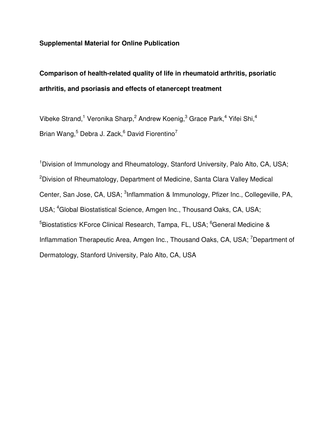## **Supplemental Material for Online Publication**

## **Comparison of health-related quality of life in rheumatoid arthritis, psoriatic arthritis, and psoriasis and effects of etanercept treatment**

Vibeke Strand,<sup>1</sup> Veronika Sharp,<sup>2</sup> Andrew Koenig,<sup>3</sup> Grace Park,<sup>4</sup> Yifei Shi,<sup>4</sup> Brian Wang, $^5$  Debra J. Zack, $^6$  David Fiorentino<sup>7</sup>

<sup>1</sup>Division of Immunology and Rheumatology, Stanford University, Palo Alto, CA, USA; <sup>2</sup>Division of Rheumatology, Department of Medicine, Santa Clara Valley Medical Center, San Jose, CA, USA; <sup>3</sup>Inflammation & Immunology, Pfizer Inc., Collegeville, PA, USA; <sup>4</sup>Global Biostatistical Science, Amgen Inc., Thousand Oaks, CA, USA; <sup>5</sup>Biostatistics<sup>,</sup> KForce Clinical Research, Tampa, FL, USA; <sup>6</sup>General Medicine & Inflammation Therapeutic Area, Amgen Inc., Thousand Oaks, CA, USA; <sup>7</sup>Department of Dermatology, Stanford University, Palo Alto, CA, USA